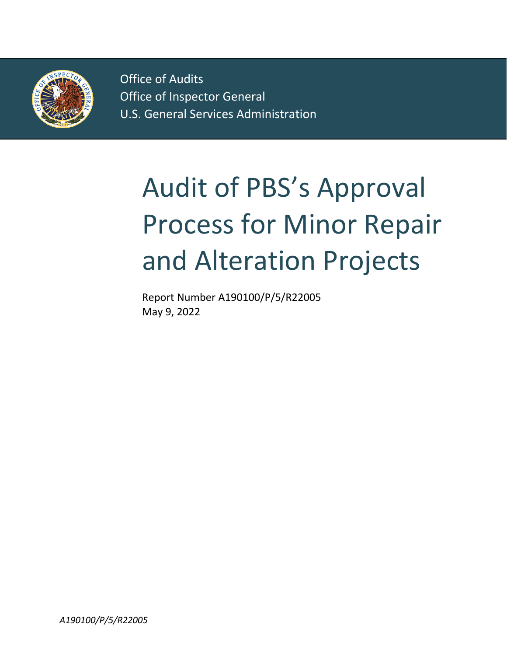

Office of Audits Office of Audits Office of Inspector General Office of Inspector General U.S. General Services Administration U.S. General Services Administration

# Audit of PBS's Approval Process for Minor Repair and Alteration Projects

Report Number A190100/P/5/R22005 May 9, 2022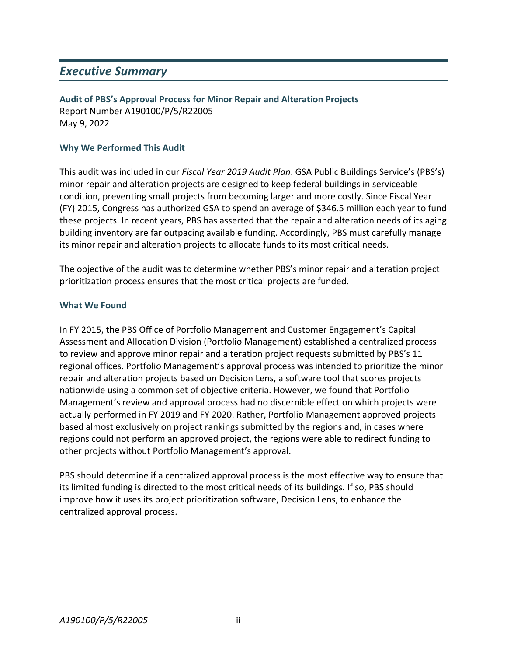### *Executive Summary*

**Audit of PBS's Approval Process for Minor Repair and Alteration Projects** Report Number A190100/P/5/R22005 May 9, 2022

#### **Why We Performed This Audit**

This audit was included in our *Fiscal Year 2019 Audit Plan*. GSA Public Buildings Service's (PBS's) minor repair and alteration projects are designed to keep federal buildings in serviceable condition, preventing small projects from becoming larger and more costly. Since Fiscal Year (FY) 2015, Congress has authorized GSA to spend an average of \$346.5 million each year to fund these projects. In recent years, PBS has asserted that the repair and alteration needs of its aging building inventory are far outpacing available funding. Accordingly, PBS must carefully manage its minor repair and alteration projects to allocate funds to its most critical needs.

The objective of the audit was to determine whether PBS's minor repair and alteration project prioritization process ensures that the most critical projects are funded.

#### **What We Found**

In FY 2015, the PBS Office of Portfolio Management and Customer Engagement's Capital Assessment and Allocation Division (Portfolio Management) established a centralized process to review and approve minor repair and alteration project requests submitted by PBS's 11 regional offices. Portfolio Management's approval process was intended to prioritize the minor repair and alteration projects based on Decision Lens, a software tool that scores projects nationwide using a common set of objective criteria. However, we found that Portfolio Management's review and approval process had no discernible effect on which projects were actually performed in FY 2019 and FY 2020. Rather, Portfolio Management approved projects based almost exclusively on project rankings submitted by the regions and, in cases where regions could not perform an approved project, the regions were able to redirect funding to other projects without Portfolio Management's approval.

PBS should determine if a centralized approval process is the most effective way to ensure that its limited funding is directed to the most critical needs of its buildings. If so, PBS should improve how it uses its project prioritization software, Decision Lens, to enhance the centralized approval process.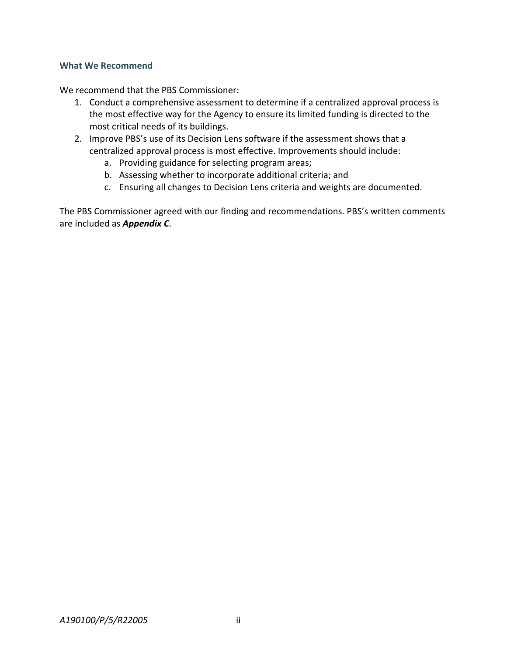#### **What We Recommend**

We recommend that the PBS Commissioner:

- 1. Conduct a comprehensive assessment to determine if a centralized approval process is the most effective way for the Agency to ensure its limited funding is directed to the most critical needs of its buildings.
- 2. Improve PBS's use of its Decision Lens software if the assessment shows that a centralized approval process is most effective. Improvements should include:
	- a. Providing guidance for selecting program areas;
	- b. Assessing whether to incorporate additional criteria; and
	- c. Ensuring all changes to Decision Lens criteria and weights are documented.

The PBS Commissioner agreed with our finding and recommendations. PBS's written comments are included as *Appendix C*.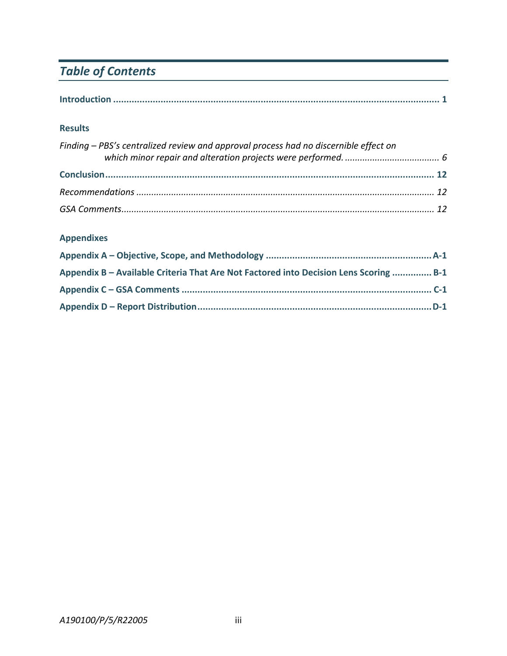# *Table of Contents*

|--|

#### **Results**

| Finding – PBS's centralized review and approval process had no discernible effect on |  |
|--------------------------------------------------------------------------------------|--|
|                                                                                      |  |
|                                                                                      |  |
|                                                                                      |  |

#### **Appendixes**

| Appendix B - Available Criteria That Are Not Factored into Decision Lens Scoring  B-1 |  |
|---------------------------------------------------------------------------------------|--|
|                                                                                       |  |
|                                                                                       |  |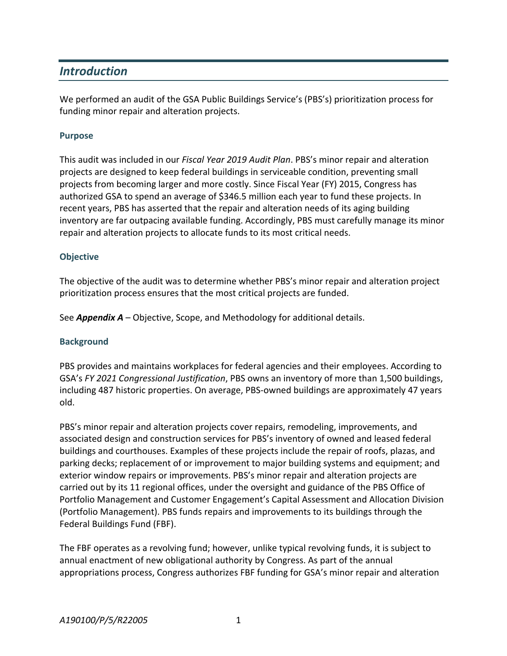## *Introduction*

We performed an audit of the GSA Public Buildings Service's (PBS's) prioritization process for funding minor repair and alteration projects.

#### **Purpose**

This audit was included in our *Fiscal Year 2019 Audit Plan*. PBS's minor repair and alteration projects are designed to keep federal buildings in serviceable condition, preventing small projects from becoming larger and more costly. Since Fiscal Year (FY) 2015, Congress has authorized GSA to spend an average of \$346.5 million each year to fund these projects. In recent years, PBS has asserted that the repair and alteration needs of its aging building inventory are far outpacing available funding. Accordingly, PBS must carefully manage its minor repair and alteration projects to allocate funds to its most critical needs.

#### **Objective**

The objective of the audit was to determine whether PBS's minor repair and alteration project prioritization process ensures that the most critical projects are funded.

See *Appendix A* – Objective, Scope, and Methodology for additional details.

#### **Background**

PBS provides and maintains workplaces for federal agencies and their employees. According to GSA's *FY 2021 Congressional Justification*, PBS owns an inventory of more than 1,500 buildings, including 487 historic properties. On average, PBS-owned buildings are approximately 47 years old.

PBS's minor repair and alteration projects cover repairs, remodeling, improvements, and associated design and construction services for PBS's inventory of owned and leased federal buildings and courthouses. Examples of these projects include the repair of roofs, plazas, and parking decks; replacement of or improvement to major building systems and equipment; and exterior window repairs or improvements. PBS's minor repair and alteration projects are carried out by its 11 regional offices, under the oversight and guidance of the PBS Office of Portfolio Management and Customer Engagement's Capital Assessment and Allocation Division (Portfolio Management). PBS funds repairs and improvements to its buildings through the Federal Buildings Fund (FBF).

The FBF operates as a revolving fund; however, unlike typical revolving funds, it is subject to annual enactment of new obligational authority by Congress. As part of the annual appropriations process, Congress authorizes FBF funding for GSA's minor repair and alteration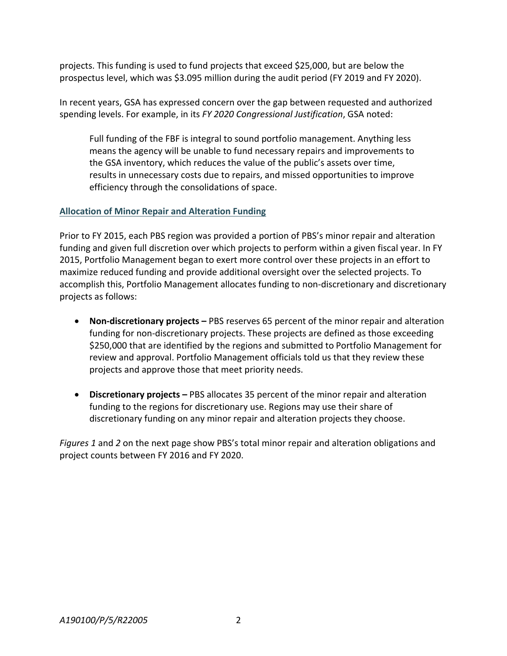projects. This funding is used to fund projects that exceed \$25,000, but are below the prospectus level, which was \$3.095 million during the audit period (FY 2019 and FY 2020).

In recent years, GSA has expressed concern over the gap between requested and authorized spending levels. For example, in its *FY 2020 Congressional Justification*, GSA noted:

Full funding of the FBF is integral to sound portfolio management. Anything less means the agency will be unable to fund necessary repairs and improvements to the GSA inventory, which reduces the value of the public's assets over time, results in unnecessary costs due to repairs, and missed opportunities to improve efficiency through the consolidations of space.

#### **Allocation of Minor Repair and Alteration Funding**

Prior to FY 2015, each PBS region was provided a portion of PBS's minor repair and alteration funding and given full discretion over which projects to perform within a given fiscal year. In FY 2015, Portfolio Management began to exert more control over these projects in an effort to maximize reduced funding and provide additional oversight over the selected projects. To accomplish this, Portfolio Management allocates funding to non-discretionary and discretionary projects as follows:

- **Non-discretionary projects –** PBS reserves 65 percent of the minor repair and alteration funding for non-discretionary projects. These projects are defined as those exceeding \$250,000 that are identified by the regions and submitted to Portfolio Management for review and approval. Portfolio Management officials told us that they review these projects and approve those that meet priority needs.
- **Discretionary projects –** PBS allocates 35 percent of the minor repair and alteration funding to the regions for discretionary use. Regions may use their share of discretionary funding on any minor repair and alteration projects they choose.

*Figures 1* and *2* on the next page show PBS's total minor repair and alteration obligations and project counts between FY 2016 and FY 2020.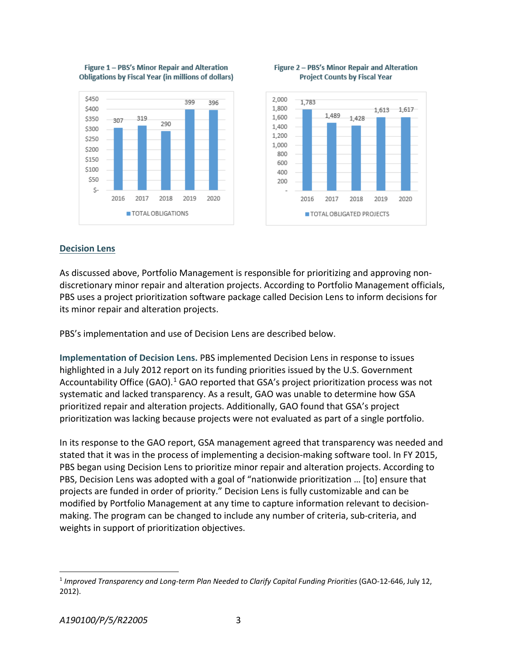







#### **Decision Lens**

As discussed above, Portfolio Management is responsible for prioritizing and approving nondiscretionary minor repair and alteration projects. According to Portfolio Management officials, PBS uses a project prioritization software package called Decision Lens to inform decisions for its minor repair and alteration projects.

PBS's implementation and use of Decision Lens are described below.

**Implementation of Decision Lens.** PBS implemented Decision Lens in response to issues highlighted in a July 2012 report on its funding priorities issued by the U.S. Government Accountability Office (GAO).<sup>[1](#page-6-0)</sup> GAO reported that GSA's project prioritization process was not systematic and lacked transparency. As a result, GAO was unable to determine how GSA prioritized repair and alteration projects. Additionally, GAO found that GSA's project prioritization was lacking because projects were not evaluated as part of a single portfolio.

In its response to the GAO report, GSA management agreed that transparency was needed and stated that it was in the process of implementing a decision-making software tool. In FY 2015, PBS began using Decision Lens to prioritize minor repair and alteration projects. According to PBS, Decision Lens was adopted with a goal of "nationwide prioritization … [to] ensure that projects are funded in order of priority." Decision Lens is fully customizable and can be modified by Portfolio Management at any time to capture information relevant to decisionmaking. The program can be changed to include any number of criteria, sub-criteria, and weights in support of prioritization objectives.

<span id="page-6-0"></span><sup>&</sup>lt;sup>1</sup> Improved Transparency and Long-term Plan Needed to Clarify Capital Funding Priorities (GAO-12-646, July 12, 2012).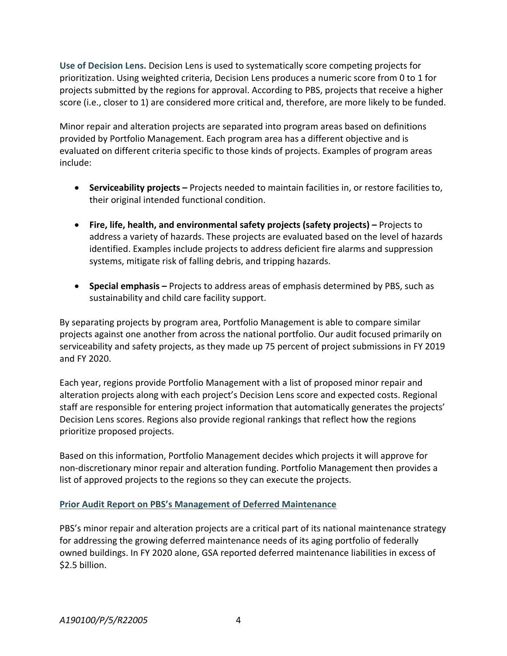**Use of Decision Lens.** Decision Lens is used to systematically score competing projects for prioritization. Using weighted criteria, Decision Lens produces a numeric score from 0 to 1 for projects submitted by the regions for approval. According to PBS, projects that receive a higher score (i.e., closer to 1) are considered more critical and, therefore, are more likely to be funded.

Minor repair and alteration projects are separated into program areas based on definitions provided by Portfolio Management. Each program area has a different objective and is evaluated on different criteria specific to those kinds of projects. Examples of program areas include:

- **Serviceability projects –** Projects needed to maintain facilities in, or restore facilities to, their original intended functional condition.
- **Fire, life, health, and environmental safety projects (safety projects) –** Projects to address a variety of hazards. These projects are evaluated based on the level of hazards identified. Examples include projects to address deficient fire alarms and suppression systems, mitigate risk of falling debris, and tripping hazards.
- **Special emphasis –** Projects to address areas of emphasis determined by PBS, such as sustainability and child care facility support.

By separating projects by program area, Portfolio Management is able to compare similar projects against one another from across the national portfolio. Our audit focused primarily on serviceability and safety projects, as they made up 75 percent of project submissions in FY 2019 and FY 2020.

Each year, regions provide Portfolio Management with a list of proposed minor repair and alteration projects along with each project's Decision Lens score and expected costs. Regional staff are responsible for entering project information that automatically generates the projects' Decision Lens scores. Regions also provide regional rankings that reflect how the regions prioritize proposed projects.

Based on this information, Portfolio Management decides which projects it will approve for non-discretionary minor repair and alteration funding. Portfolio Management then provides a list of approved projects to the regions so they can execute the projects.

#### **Prior Audit Report on PBS's Management of Deferred Maintenance**

PBS's minor repair and alteration projects are a critical part of its national maintenance strategy for addressing the growing deferred maintenance needs of its aging portfolio of federally owned buildings. In FY 2020 alone, GSA reported deferred maintenance liabilities in excess of \$2.5 billion.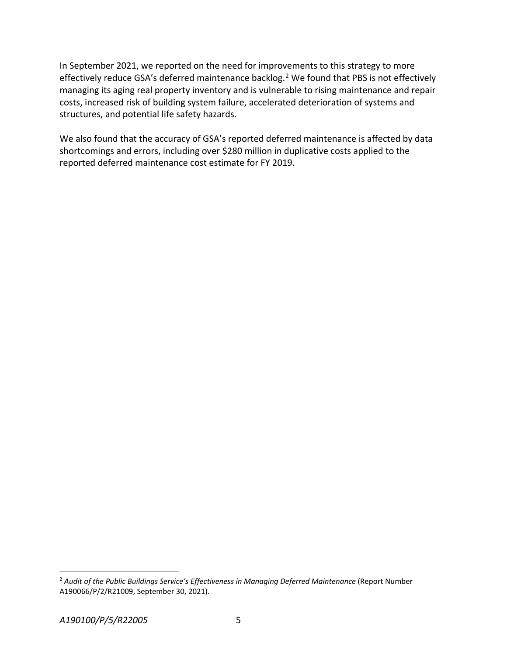In September 2021, we reported on the need for improvements to this strategy to more effectively reduce GSA's deferred maintenance backlog.<sup>[2](#page-8-0)</sup> We found that PBS is not effectively managing its aging real property inventory and is vulnerable to rising maintenance and repair costs, increased risk of building system failure, accelerated deterioration of systems and structures, and potential life safety hazards.

We also found that the accuracy of GSA's reported deferred maintenance is affected by data shortcomings and errors, including over \$280 million in duplicative costs applied to the reported deferred maintenance cost estimate for FY 2019.

<span id="page-8-0"></span> <sup>2</sup> *Audit of the Public Buildings Service's Effectiveness in Managing Deferred Maintenance* (Report Number A190066/P/2/R21009, September 30, 2021).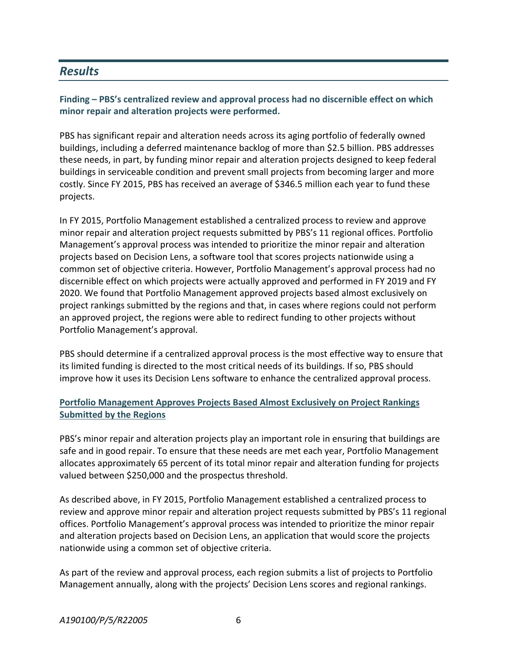## *Results*

#### **Finding – PBS's centralized review and approval process had no discernible effect on which minor repair and alteration projects were performed.**

PBS has significant repair and alteration needs across its aging portfolio of federally owned buildings, including a deferred maintenance backlog of more than \$2.5 billion. PBS addresses these needs, in part, by funding minor repair and alteration projects designed to keep federal buildings in serviceable condition and prevent small projects from becoming larger and more costly. Since FY 2015, PBS has received an average of \$346.5 million each year to fund these projects.

In FY 2015, Portfolio Management established a centralized process to review and approve minor repair and alteration project requests submitted by PBS's 11 regional offices. Portfolio Management's approval process was intended to prioritize the minor repair and alteration projects based on Decision Lens, a software tool that scores projects nationwide using a common set of objective criteria. However, Portfolio Management's approval process had no discernible effect on which projects were actually approved and performed in FY 2019 and FY 2020. We found that Portfolio Management approved projects based almost exclusively on project rankings submitted by the regions and that, in cases where regions could not perform an approved project, the regions were able to redirect funding to other projects without Portfolio Management's approval.

PBS should determine if a centralized approval process is the most effective way to ensure that its limited funding is directed to the most critical needs of its buildings. If so, PBS should improve how it uses its Decision Lens software to enhance the centralized approval process.

#### **Portfolio Management Approves Projects Based Almost Exclusively on Project Rankings Submitted by the Regions**

PBS's minor repair and alteration projects play an important role in ensuring that buildings are safe and in good repair. To ensure that these needs are met each year, Portfolio Management allocates approximately 65 percent of its total minor repair and alteration funding for projects valued between \$250,000 and the prospectus threshold.

As described above, in FY 2015, Portfolio Management established a centralized process to review and approve minor repair and alteration project requests submitted by PBS's 11 regional offices. Portfolio Management's approval process was intended to prioritize the minor repair and alteration projects based on Decision Lens, an application that would score the projects nationwide using a common set of objective criteria.

As part of the review and approval process, each region submits a list of projects to Portfolio Management annually, along with the projects' Decision Lens scores and regional rankings.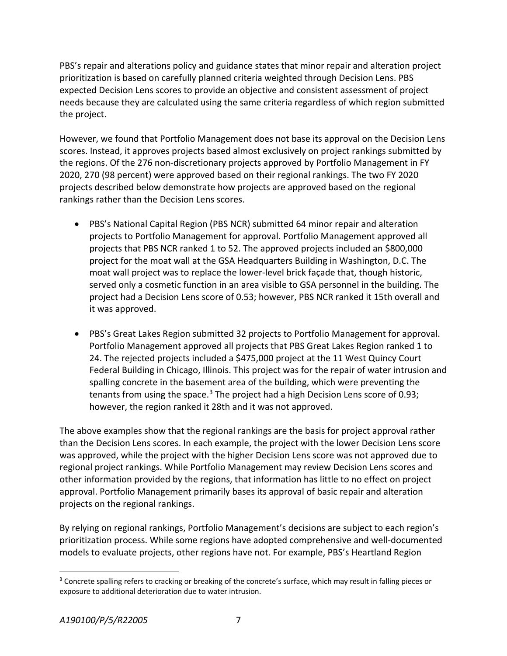PBS's repair and alterations policy and guidance states that minor repair and alteration project prioritization is based on carefully planned criteria weighted through Decision Lens. PBS expected Decision Lens scores to provide an objective and consistent assessment of project needs because they are calculated using the same criteria regardless of which region submitted the project.

However, we found that Portfolio Management does not base its approval on the Decision Lens scores. Instead, it approves projects based almost exclusively on project rankings submitted by the regions. Of the 276 non-discretionary projects approved by Portfolio Management in FY 2020, 270 (98 percent) were approved based on their regional rankings. The two FY 2020 projects described below demonstrate how projects are approved based on the regional rankings rather than the Decision Lens scores.

- PBS's National Capital Region (PBS NCR) submitted 64 minor repair and alteration projects to Portfolio Management for approval. Portfolio Management approved all projects that PBS NCR ranked 1 to 52. The approved projects included an \$800,000 project for the moat wall at the GSA Headquarters Building in Washington, D.C. The moat wall project was to replace the lower-level brick façade that, though historic, served only a cosmetic function in an area visible to GSA personnel in the building. The project had a Decision Lens score of 0.53; however, PBS NCR ranked it 15th overall and it was approved.
- PBS's Great Lakes Region submitted 32 projects to Portfolio Management for approval. Portfolio Management approved all projects that PBS Great Lakes Region ranked 1 to 24. The rejected projects included a \$475,000 project at the 11 West Quincy Court Federal Building in Chicago, Illinois. This project was for the repair of water intrusion and spalling concrete in the basement area of the building, which were preventing the tenants from using the space.<sup>[3](#page-10-0)</sup> The project had a high Decision Lens score of 0.93; however, the region ranked it 28th and it was not approved.

The above examples show that the regional rankings are the basis for project approval rather than the Decision Lens scores. In each example, the project with the lower Decision Lens score was approved, while the project with the higher Decision Lens score was not approved due to regional project rankings. While Portfolio Management may review Decision Lens scores and other information provided by the regions, that information has little to no effect on project approval. Portfolio Management primarily bases its approval of basic repair and alteration projects on the regional rankings.

By relying on regional rankings, Portfolio Management's decisions are subject to each region's prioritization process. While some regions have adopted comprehensive and well-documented models to evaluate projects, other regions have not. For example, PBS's Heartland Region

<span id="page-10-0"></span><sup>&</sup>lt;sup>3</sup> Concrete spalling refers to cracking or breaking of the concrete's surface, which may result in falling pieces or exposure to additional deterioration due to water intrusion.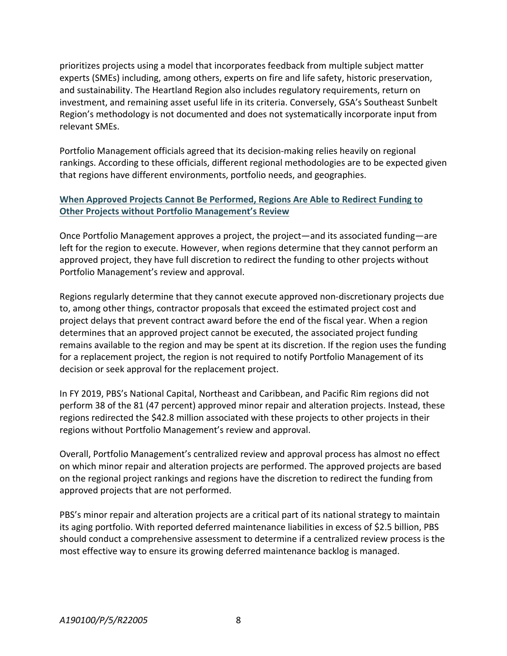prioritizes projects using a model that incorporates feedback from multiple subject matter experts (SMEs) including, among others, experts on fire and life safety, historic preservation, and sustainability. The Heartland Region also includes regulatory requirements, return on investment, and remaining asset useful life in its criteria. Conversely, GSA's Southeast Sunbelt Region's methodology is not documented and does not systematically incorporate input from relevant SMEs.

Portfolio Management officials agreed that its decision-making relies heavily on regional rankings. According to these officials, different regional methodologies are to be expected given that regions have different environments, portfolio needs, and geographies.

#### **When Approved Projects Cannot Be Performed, Regions Are Able to Redirect Funding to Other Projects without Portfolio Management's Review**

Once Portfolio Management approves a project, the project—and its associated funding—are left for the region to execute. However, when regions determine that they cannot perform an approved project, they have full discretion to redirect the funding to other projects without Portfolio Management's review and approval.

Regions regularly determine that they cannot execute approved non-discretionary projects due to, among other things, contractor proposals that exceed the estimated project cost and project delays that prevent contract award before the end of the fiscal year. When a region determines that an approved project cannot be executed, the associated project funding remains available to the region and may be spent at its discretion. If the region uses the funding for a replacement project, the region is not required to notify Portfolio Management of its decision or seek approval for the replacement project.

In FY 2019, PBS's National Capital, Northeast and Caribbean, and Pacific Rim regions did not perform 38 of the 81 (47 percent) approved minor repair and alteration projects. Instead, these regions redirected the \$42.8 million associated with these projects to other projects in their regions without Portfolio Management's review and approval.

Overall, Portfolio Management's centralized review and approval process has almost no effect on which minor repair and alteration projects are performed. The approved projects are based on the regional project rankings and regions have the discretion to redirect the funding from approved projects that are not performed.

PBS's minor repair and alteration projects are a critical part of its national strategy to maintain its aging portfolio. With reported deferred maintenance liabilities in excess of \$2.5 billion, PBS should conduct a comprehensive assessment to determine if a centralized review process is the most effective way to ensure its growing deferred maintenance backlog is managed.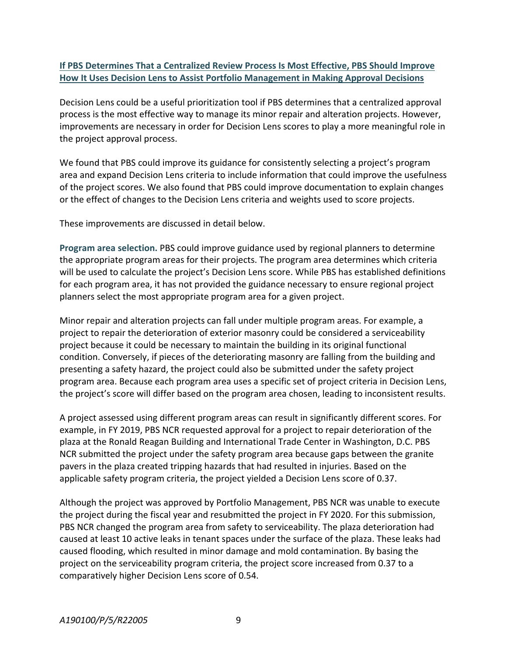#### **If PBS Determines That a Centralized Review Process Is Most Effective, PBS Should Improve How It Uses Decision Lens to Assist Portfolio Management in Making Approval Decisions**

Decision Lens could be a useful prioritization tool if PBS determines that a centralized approval process is the most effective way to manage its minor repair and alteration projects. However, improvements are necessary in order for Decision Lens scores to play a more meaningful role in the project approval process.

We found that PBS could improve its guidance for consistently selecting a project's program area and expand Decision Lens criteria to include information that could improve the usefulness of the project scores. We also found that PBS could improve documentation to explain changes or the effect of changes to the Decision Lens criteria and weights used to score projects.

These improvements are discussed in detail below.

**Program area selection.** PBS could improve guidance used by regional planners to determine the appropriate program areas for their projects. The program area determines which criteria will be used to calculate the project's Decision Lens score. While PBS has established definitions for each program area, it has not provided the guidance necessary to ensure regional project planners select the most appropriate program area for a given project.

Minor repair and alteration projects can fall under multiple program areas. For example, a project to repair the deterioration of exterior masonry could be considered a serviceability project because it could be necessary to maintain the building in its original functional condition. Conversely, if pieces of the deteriorating masonry are falling from the building and presenting a safety hazard, the project could also be submitted under the safety project program area. Because each program area uses a specific set of project criteria in Decision Lens, the project's score will differ based on the program area chosen, leading to inconsistent results.

A project assessed using different program areas can result in significantly different scores. For example, in FY 2019, PBS NCR requested approval for a project to repair deterioration of the plaza at the Ronald Reagan Building and International Trade Center in Washington, D.C. PBS NCR submitted the project under the safety program area because gaps between the granite pavers in the plaza created tripping hazards that had resulted in injuries. Based on the applicable safety program criteria, the project yielded a Decision Lens score of 0.37.

Although the project was approved by Portfolio Management, PBS NCR was unable to execute the project during the fiscal year and resubmitted the project in FY 2020. For this submission, PBS NCR changed the program area from safety to serviceability. The plaza deterioration had caused at least 10 active leaks in tenant spaces under the surface of the plaza. These leaks had caused flooding, which resulted in minor damage and mold contamination. By basing the project on the serviceability program criteria, the project score increased from 0.37 to a comparatively higher Decision Lens score of 0.54.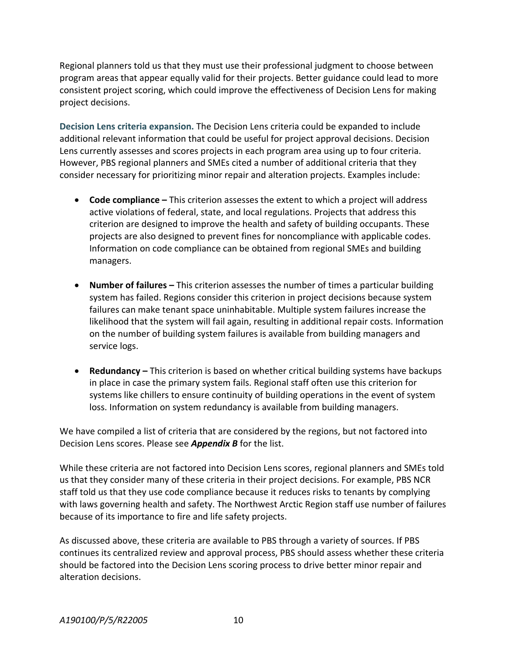Regional planners told us that they must use their professional judgment to choose between program areas that appear equally valid for their projects. Better guidance could lead to more consistent project scoring, which could improve the effectiveness of Decision Lens for making project decisions.

**Decision Lens criteria expansion.** The Decision Lens criteria could be expanded to include additional relevant information that could be useful for project approval decisions. Decision Lens currently assesses and scores projects in each program area using up to four criteria. However, PBS regional planners and SMEs cited a number of additional criteria that they consider necessary for prioritizing minor repair and alteration projects. Examples include:

- **Code compliance –** This criterion assesses the extent to which a project will address active violations of federal, state, and local regulations. Projects that address this criterion are designed to improve the health and safety of building occupants. These projects are also designed to prevent fines for noncompliance with applicable codes. Information on code compliance can be obtained from regional SMEs and building managers.
- **Number of failures –** This criterion assesses the number of times a particular building system has failed. Regions consider this criterion in project decisions because system failures can make tenant space uninhabitable. Multiple system failures increase the likelihood that the system will fail again, resulting in additional repair costs. Information on the number of building system failures is available from building managers and service logs.
- **Redundancy –** This criterion is based on whether critical building systems have backups in place in case the primary system fails. Regional staff often use this criterion for systems like chillers to ensure continuity of building operations in the event of system loss. Information on system redundancy is available from building managers.

We have compiled a list of criteria that are considered by the regions, but not factored into Decision Lens scores. Please see *Appendix B* for the list.

While these criteria are not factored into Decision Lens scores, regional planners and SMEs told us that they consider many of these criteria in their project decisions. For example, PBS NCR staff told us that they use code compliance because it reduces risks to tenants by complying with laws governing health and safety. The Northwest Arctic Region staff use number of failures because of its importance to fire and life safety projects.

As discussed above, these criteria are available to PBS through a variety of sources. If PBS continues its centralized review and approval process, PBS should assess whether these criteria should be factored into the Decision Lens scoring process to drive better minor repair and alteration decisions.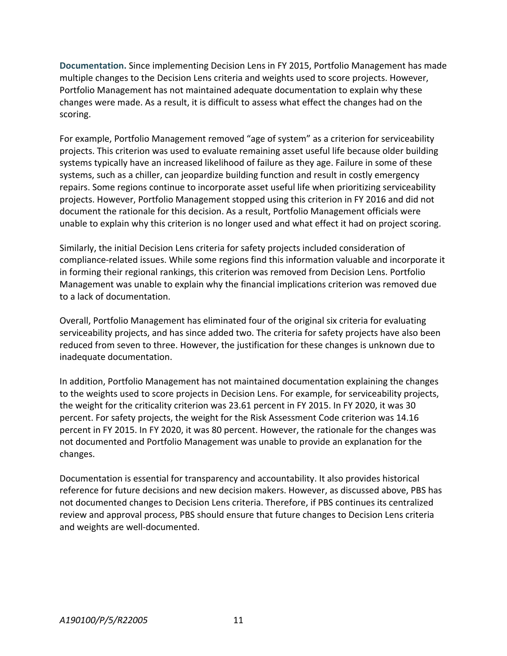**Documentation.** Since implementing Decision Lens in FY 2015, Portfolio Management has made multiple changes to the Decision Lens criteria and weights used to score projects. However, Portfolio Management has not maintained adequate documentation to explain why these changes were made. As a result, it is difficult to assess what effect the changes had on the scoring.

For example, Portfolio Management removed "age of system" as a criterion for serviceability projects. This criterion was used to evaluate remaining asset useful life because older building systems typically have an increased likelihood of failure as they age. Failure in some of these systems, such as a chiller, can jeopardize building function and result in costly emergency repairs. Some regions continue to incorporate asset useful life when prioritizing serviceability projects. However, Portfolio Management stopped using this criterion in FY 2016 and did not document the rationale for this decision. As a result, Portfolio Management officials were unable to explain why this criterion is no longer used and what effect it had on project scoring.

Similarly, the initial Decision Lens criteria for safety projects included consideration of compliance-related issues. While some regions find this information valuable and incorporate it in forming their regional rankings, this criterion was removed from Decision Lens. Portfolio Management was unable to explain why the financial implications criterion was removed due to a lack of documentation.

Overall, Portfolio Management has eliminated four of the original six criteria for evaluating serviceability projects, and has since added two. The criteria for safety projects have also been reduced from seven to three. However, the justification for these changes is unknown due to inadequate documentation.

In addition, Portfolio Management has not maintained documentation explaining the changes to the weights used to score projects in Decision Lens. For example, for serviceability projects, the weight for the criticality criterion was 23.61 percent in FY 2015. In FY 2020, it was 30 percent. For safety projects, the weight for the Risk Assessment Code criterion was 14.16 percent in FY 2015. In FY 2020, it was 80 percent. However, the rationale for the changes was not documented and Portfolio Management was unable to provide an explanation for the changes.

Documentation is essential for transparency and accountability. It also provides historical reference for future decisions and new decision makers. However, as discussed above, PBS has not documented changes to Decision Lens criteria. Therefore, if PBS continues its centralized review and approval process, PBS should ensure that future changes to Decision Lens criteria and weights are well-documented.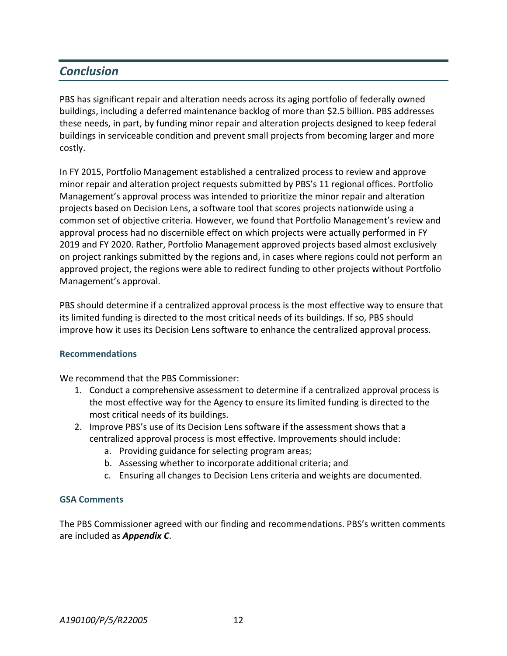## *Conclusion*

PBS has significant repair and alteration needs across its aging portfolio of federally owned buildings, including a deferred maintenance backlog of more than \$2.5 billion. PBS addresses these needs, in part, by funding minor repair and alteration projects designed to keep federal buildings in serviceable condition and prevent small projects from becoming larger and more costly.

In FY 2015, Portfolio Management established a centralized process to review and approve minor repair and alteration project requests submitted by PBS's 11 regional offices. Portfolio Management's approval process was intended to prioritize the minor repair and alteration projects based on Decision Lens, a software tool that scores projects nationwide using a common set of objective criteria. However, we found that Portfolio Management's review and approval process had no discernible effect on which projects were actually performed in FY 2019 and FY 2020. Rather, Portfolio Management approved projects based almost exclusively on project rankings submitted by the regions and, in cases where regions could not perform an approved project, the regions were able to redirect funding to other projects without Portfolio Management's approval.

PBS should determine if a centralized approval process is the most effective way to ensure that its limited funding is directed to the most critical needs of its buildings. If so, PBS should improve how it uses its Decision Lens software to enhance the centralized approval process.

#### **Recommendations**

We recommend that the PBS Commissioner:

- 1. Conduct a comprehensive assessment to determine if a centralized approval process is the most effective way for the Agency to ensure its limited funding is directed to the most critical needs of its buildings.
- 2. Improve PBS's use of its Decision Lens software if the assessment shows that a centralized approval process is most effective. Improvements should include:
	- a. Providing guidance for selecting program areas;
	- b. Assessing whether to incorporate additional criteria; and
	- c. Ensuring all changes to Decision Lens criteria and weights are documented.

#### **GSA Comments**

The PBS Commissioner agreed with our finding and recommendations. PBS's written comments are included as *Appendix C*.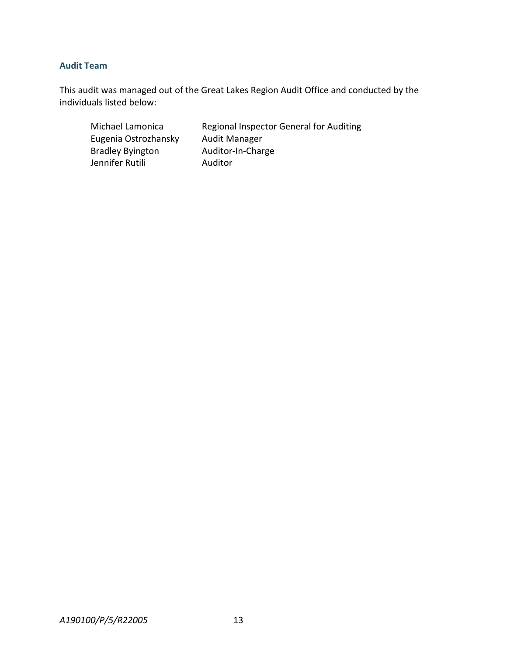#### **Audit Team**

This audit was managed out of the Great Lakes Region Audit Office and conducted by the individuals listed below:

Michael Lamonica Regional Inspector General for Auditing Eugenia Ostrozhansky Audit Manager Bradley Byington Auditor-In-Charge Jennifer Rutili **Auditor**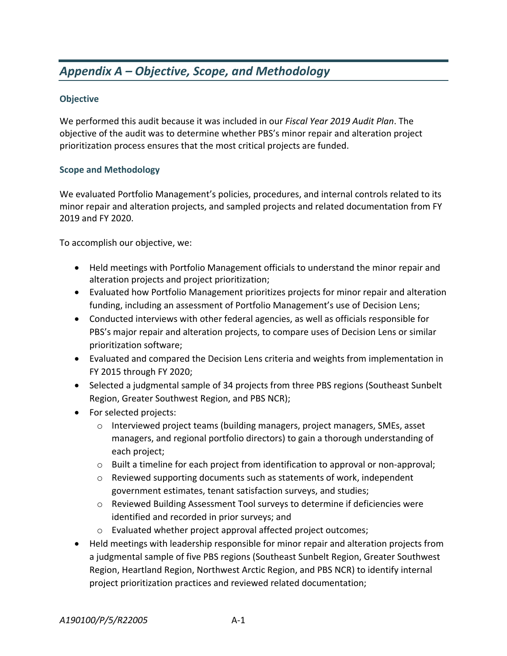# *Appendix A – Objective, Scope, and Methodology*

#### **Objective**

We performed this audit because it was included in our *Fiscal Year 2019 Audit Plan*. The objective of the audit was to determine whether PBS's minor repair and alteration project prioritization process ensures that the most critical projects are funded.

#### **Scope and Methodology**

We evaluated Portfolio Management's policies, procedures, and internal controls related to its minor repair and alteration projects, and sampled projects and related documentation from FY 2019 and FY 2020.

To accomplish our objective, we:

- Held meetings with Portfolio Management officials to understand the minor repair and alteration projects and project prioritization;
- Evaluated how Portfolio Management prioritizes projects for minor repair and alteration funding, including an assessment of Portfolio Management's use of Decision Lens;
- Conducted interviews with other federal agencies, as well as officials responsible for PBS's major repair and alteration projects, to compare uses of Decision Lens or similar prioritization software;
- Evaluated and compared the Decision Lens criteria and weights from implementation in FY 2015 through FY 2020;
- Selected a judgmental sample of 34 projects from three PBS regions (Southeast Sunbelt Region, Greater Southwest Region, and PBS NCR);
- For selected projects:
	- o Interviewed project teams (building managers, project managers, SMEs, asset managers, and regional portfolio directors) to gain a thorough understanding of each project;
	- o Built a timeline for each project from identification to approval or non-approval;
	- o Reviewed supporting documents such as statements of work, independent government estimates, tenant satisfaction surveys, and studies;
	- o Reviewed Building Assessment Tool surveys to determine if deficiencies were identified and recorded in prior surveys; and
	- o Evaluated whether project approval affected project outcomes;
- Held meetings with leadership responsible for minor repair and alteration projects from a judgmental sample of five PBS regions (Southeast Sunbelt Region, Greater Southwest Region, Heartland Region, Northwest Arctic Region, and PBS NCR) to identify internal project prioritization practices and reviewed related documentation;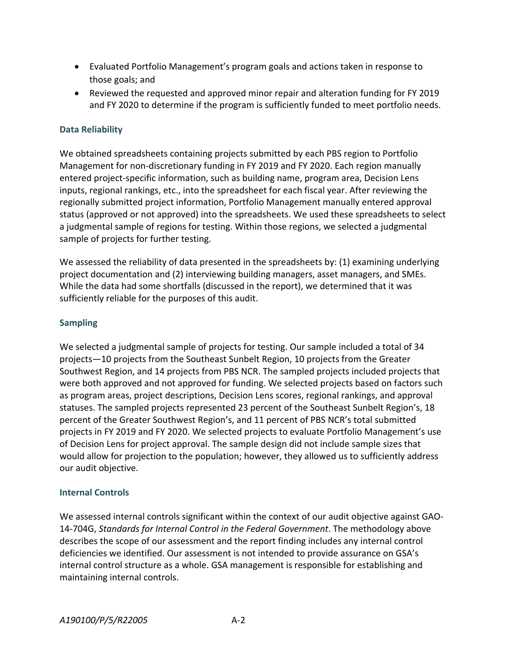- Evaluated Portfolio Management's program goals and actions taken in response to those goals; and
- Reviewed the requested and approved minor repair and alteration funding for FY 2019 and FY 2020 to determine if the program is sufficiently funded to meet portfolio needs.

#### **Data Reliability**

We obtained spreadsheets containing projects submitted by each PBS region to Portfolio Management for non-discretionary funding in FY 2019 and FY 2020. Each region manually entered project-specific information, such as building name, program area, Decision Lens inputs, regional rankings, etc., into the spreadsheet for each fiscal year. After reviewing the regionally submitted project information, Portfolio Management manually entered approval status (approved or not approved) into the spreadsheets. We used these spreadsheets to select a judgmental sample of regions for testing. Within those regions, we selected a judgmental sample of projects for further testing.

We assessed the reliability of data presented in the spreadsheets by: (1) examining underlying project documentation and (2) interviewing building managers, asset managers, and SMEs. While the data had some shortfalls (discussed in the report), we determined that it was sufficiently reliable for the purposes of this audit.

#### **Sampling**

We selected a judgmental sample of projects for testing. Our sample included a total of 34 projects—10 projects from the Southeast Sunbelt Region, 10 projects from the Greater Southwest Region, and 14 projects from PBS NCR. The sampled projects included projects that were both approved and not approved for funding. We selected projects based on factors such as program areas, project descriptions, Decision Lens scores, regional rankings, and approval statuses. The sampled projects represented 23 percent of the Southeast Sunbelt Region's, 18 percent of the Greater Southwest Region's, and 11 percent of PBS NCR's total submitted projects in FY 2019 and FY 2020. We selected projects to evaluate Portfolio Management's use of Decision Lens for project approval. The sample design did not include sample sizes that would allow for projection to the population; however, they allowed us to sufficiently address our audit objective.

#### **Internal Controls**

We assessed internal controls significant within the context of our audit objective against GAO-14-704G, *Standards for Internal Control in the Federal Government*. The methodology above describes the scope of our assessment and the report finding includes any internal control deficiencies we identified. Our assessment is not intended to provide assurance on GSA's internal control structure as a whole. GSA management is responsible for establishing and maintaining internal controls.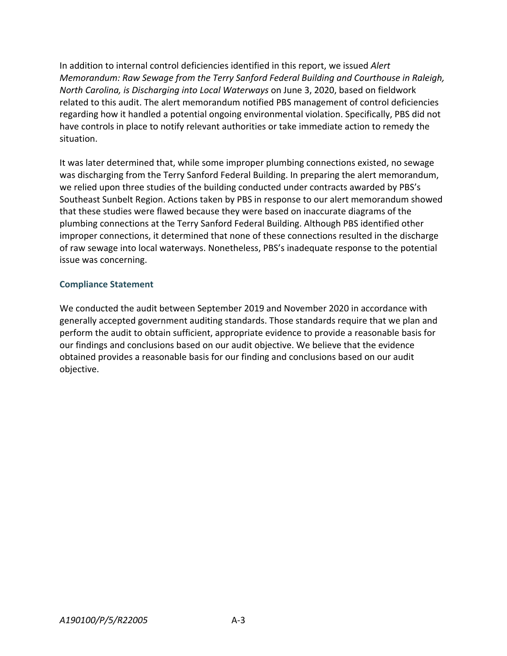In addition to internal control deficiencies identified in this report, we issued *Alert Memorandum: Raw Sewage from the Terry Sanford Federal Building and Courthouse in Raleigh, North Carolina, is Discharging into Local Waterways* on June 3, 2020, based on fieldwork related to this audit. The alert memorandum notified PBS management of control deficiencies regarding how it handled a potential ongoing environmental violation. Specifically, PBS did not have controls in place to notify relevant authorities or take immediate action to remedy the situation.

It was later determined that, while some improper plumbing connections existed, no sewage was discharging from the Terry Sanford Federal Building. In preparing the alert memorandum, we relied upon three studies of the building conducted under contracts awarded by PBS's Southeast Sunbelt Region. Actions taken by PBS in response to our alert memorandum showed that these studies were flawed because they were based on inaccurate diagrams of the plumbing connections at the Terry Sanford Federal Building. Although PBS identified other improper connections, it determined that none of these connections resulted in the discharge of raw sewage into local waterways. Nonetheless, PBS's inadequate response to the potential issue was concerning.

#### **Compliance Statement**

We conducted the audit between September 2019 and November 2020 in accordance with generally accepted government auditing standards. Those standards require that we plan and perform the audit to obtain sufficient, appropriate evidence to provide a reasonable basis for our findings and conclusions based on our audit objective. We believe that the evidence obtained provides a reasonable basis for our finding and conclusions based on our audit objective.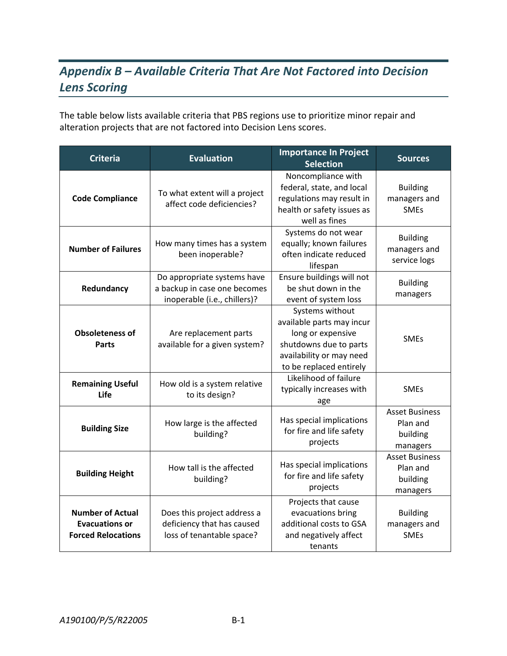# *Appendix B – Available Criteria That Are Not Factored into Decision Lens Scoring*

The table below lists available criteria that PBS regions use to prioritize minor repair and alteration projects that are not factored into Decision Lens scores.

| <b>Criteria</b>                                                               | <b>Evaluation</b>                                                                                                                                                      | <b>Importance In Project</b><br><b>Selection</b>                                                                                                   | <b>Sources</b>                                            |
|-------------------------------------------------------------------------------|------------------------------------------------------------------------------------------------------------------------------------------------------------------------|----------------------------------------------------------------------------------------------------------------------------------------------------|-----------------------------------------------------------|
| <b>Code Compliance</b>                                                        | To what extent will a project<br>affect code deficiencies?                                                                                                             | Noncompliance with<br>federal, state, and local<br>regulations may result in<br>health or safety issues as<br>well as fines                        | <b>Building</b><br>managers and<br><b>SMEs</b>            |
| <b>Number of Failures</b>                                                     | How many times has a system<br>been inoperable?                                                                                                                        | Systems do not wear<br>equally; known failures<br>often indicate reduced<br>lifespan                                                               | <b>Building</b><br>managers and<br>service logs           |
| Redundancy                                                                    | Do appropriate systems have<br>a backup in case one becomes<br>inoperable (i.e., chillers)?                                                                            | Ensure buildings will not<br>be shut down in the<br>event of system loss                                                                           | <b>Building</b><br>managers                               |
| <b>Obsoleteness of</b><br>Parts                                               | Are replacement parts<br>available for a given system?                                                                                                                 | Systems without<br>available parts may incur<br>long or expensive<br>shutdowns due to parts<br>availability or may need<br>to be replaced entirely | <b>SMEs</b>                                               |
| <b>Remaining Useful</b><br>Life                                               | How old is a system relative<br>to its design?                                                                                                                         | Likelihood of failure<br>typically increases with<br>age                                                                                           | <b>SMEs</b>                                               |
| <b>Building Size</b>                                                          | How large is the affected<br>building?                                                                                                                                 | Has special implications<br>for fire and life safety<br>projects                                                                                   | <b>Asset Business</b><br>Plan and<br>building<br>managers |
| <b>Building Height</b>                                                        | <b>Asset Business</b><br>Has special implications<br>How tall is the affected<br>Plan and<br>for fire and life safety<br>building?<br>building<br>projects<br>managers |                                                                                                                                                    |                                                           |
| <b>Number of Actual</b><br><b>Evacuations or</b><br><b>Forced Relocations</b> | Does this project address a<br>deficiency that has caused<br>loss of tenantable space?                                                                                 | Projects that cause<br>evacuations bring<br>additional costs to GSA<br>and negatively affect<br>tenants                                            | <b>Building</b><br>managers and<br><b>SMEs</b>            |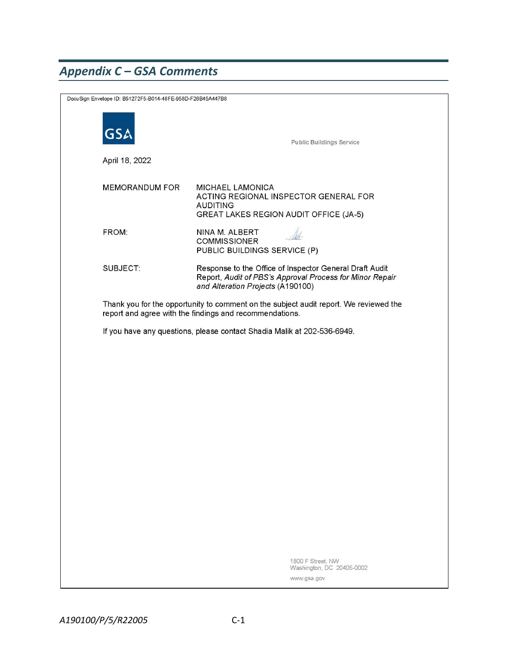# *Appendix C – GSA Comments*

|                                                                         | DocuSign Envelope ID: B51272F5-B014-46FE-958D-F26B45A447B8                                                                                       |                                                                                                                                                          |  |
|-------------------------------------------------------------------------|--------------------------------------------------------------------------------------------------------------------------------------------------|----------------------------------------------------------------------------------------------------------------------------------------------------------|--|
|                                                                         | GS.                                                                                                                                              | <b>Public Buildings Service</b>                                                                                                                          |  |
|                                                                         | April 18, 2022                                                                                                                                   |                                                                                                                                                          |  |
|                                                                         | <b>MEMORANDUM FOR</b>                                                                                                                            | <b>MICHAEL LAMONICA</b><br>ACTING REGIONAL INSPECTOR GENERAL FOR<br><b>AUDITING</b><br><b>GREAT LAKES REGION AUDIT OFFICE (JA-5)</b>                     |  |
|                                                                         | FROM:                                                                                                                                            | NINA M. ALBERT<br><b>COMMISSIONER</b><br>PUBLIC BUILDINGS SERVICE (P)                                                                                    |  |
|                                                                         | SUBJECT:                                                                                                                                         | Response to the Office of Inspector General Draft Audit<br>Report, Audit of PBS's Approval Process for Minor Repair<br>and Alteration Projects (A190100) |  |
|                                                                         | Thank you for the opportunity to comment on the subject audit report. We reviewed the<br>report and agree with the findings and recommendations. |                                                                                                                                                          |  |
| If you have any questions, please contact Shadia Malik at 202-536-6949. |                                                                                                                                                  |                                                                                                                                                          |  |
|                                                                         |                                                                                                                                                  |                                                                                                                                                          |  |
|                                                                         |                                                                                                                                                  |                                                                                                                                                          |  |
|                                                                         |                                                                                                                                                  |                                                                                                                                                          |  |
|                                                                         |                                                                                                                                                  |                                                                                                                                                          |  |
|                                                                         |                                                                                                                                                  |                                                                                                                                                          |  |
|                                                                         |                                                                                                                                                  |                                                                                                                                                          |  |
|                                                                         |                                                                                                                                                  |                                                                                                                                                          |  |
|                                                                         |                                                                                                                                                  |                                                                                                                                                          |  |
|                                                                         |                                                                                                                                                  |                                                                                                                                                          |  |
|                                                                         |                                                                                                                                                  |                                                                                                                                                          |  |
|                                                                         |                                                                                                                                                  | 1800 F Street, NW<br>Washington, DC 20405-0002<br>www.gsa.gov                                                                                            |  |
|                                                                         |                                                                                                                                                  |                                                                                                                                                          |  |